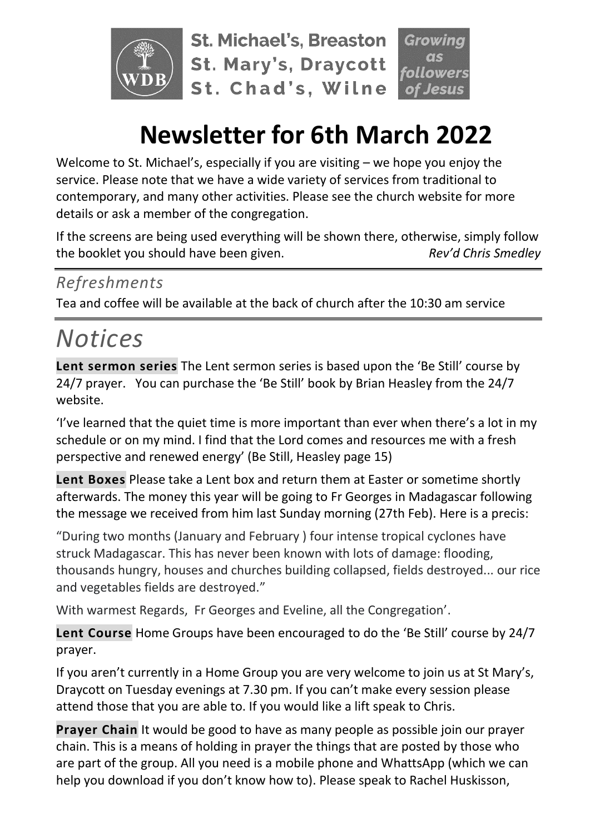

**St. Michael's, Breaston St. Mary's, Draycott** St. Chad's, Wilne owers

## **Newsletter for 6th March 2022**

Welcome to St. Michael's, especially if you are visiting – we hope you enjoy the service. Please note that we have a wide variety of services from traditional to contemporary, and many other activities. Please see the church website for more details or ask a member of the congregation.

If the screens are being used everything will be shown there, otherwise, simply follow the booklet you should have been given. *Rev'd Chris Smedley*

## *Refreshments*

Tea and coffee will be available at the back of church after the 10:30 am service

# *Notices*

**Lent sermon series** The Lent sermon series is based upon the 'Be Still' course by 24/7 prayer. You can purchase the 'Be Still' book by Brian Heasley from the 24/7 website.

'I've learned that the quiet time is more important than ever when there's a lot in my schedule or on my mind. I find that the Lord comes and resources me with a fresh perspective and renewed energy' (Be Still, Heasley page 15)

**Lent Boxes** Please take a Lent box and return them at Easter or sometime shortly afterwards. The money this year will be going to Fr Georges in Madagascar following the message we received from him last Sunday morning (27th Feb). Here is a precis:

"During two months (January and February ) four intense tropical cyclones have struck Madagascar. This has never been known with lots of damage: flooding, thousands hungry, houses and churches building collapsed, fields destroyed... our rice and vegetables fields are destroyed."

With warmest Regards, Fr Georges and Eveline, all the Congregation'.

**Lent Course** Home Groups have been encouraged to do the 'Be Still' course by 24/7 prayer.

If you aren't currently in a Home Group you are very welcome to join us at St Mary's, Draycott on Tuesday evenings at 7.30 pm. If you can't make every session please attend those that you are able to. If you would like a lift speak to Chris.

**Prayer Chain** It would be good to have as many people as possible join our prayer chain. This is a means of holding in prayer the things that are posted by those who are part of the group. All you need is a mobile phone and WhattsApp (which we can help you download if you don't know how to). Please speak to Rachel Huskisson,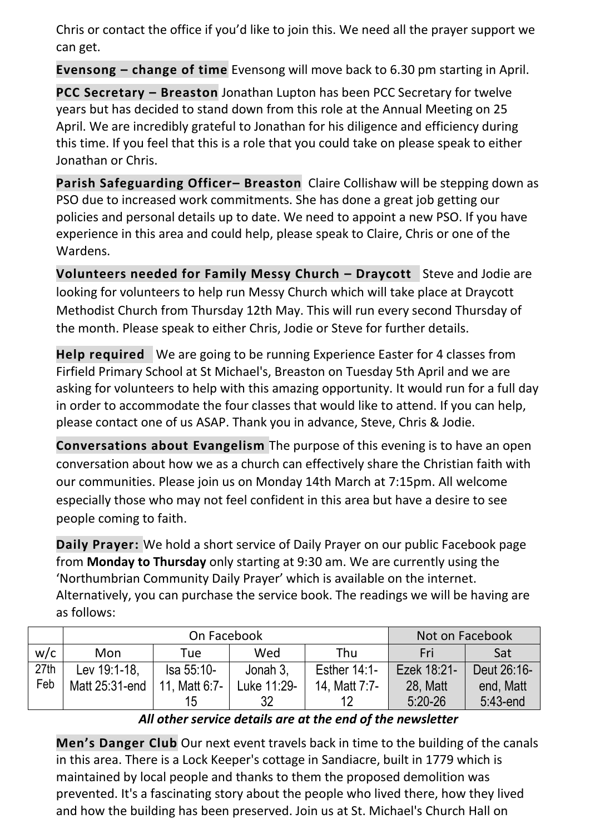Chris or contact the office if you'd like to join this. We need all the prayer support we can get.

**Evensong – change of time** Evensong will move back to 6.30 pm starting in April.

**PCC Secretary – Breaston** Jonathan Lupton has been PCC Secretary for twelve years but has decided to stand down from this role at the Annual Meeting on 25 April. We are incredibly grateful to Jonathan for his diligence and efficiency during this time. If you feel that this is a role that you could take on please speak to either Jonathan or Chris.

**Parish Safeguarding Officer– Breaston** Claire Collishaw will be stepping down as PSO due to increased work commitments. She has done a great job getting our policies and personal details up to date. We need to appoint a new PSO. If you have experience in this area and could help, please speak to Claire, Chris or one of the Wardens.

**Volunteers needed for Family Messy Church – Draycott** Steve and Jodie are looking for volunteers to help run Messy Church which will take place at Draycott Methodist Church from Thursday 12th May. This will run every second Thursday of the month. Please speak to either Chris, Jodie or Steve for further details.

**Help required** We are going to be running Experience Easter for 4 classes from Firfield Primary School at St Michael's, Breaston on Tuesday 5th April and we are asking for volunteers to help with this amazing opportunity. It would run for a full day in order to accommodate the four classes that would like to attend. If you can help, please contact one of us ASAP. Thank you in advance, Steve, Chris & Jodie.

**Conversations about Evangelism** The purpose of this evening is to have an open conversation about how we as a church can effectively share the Christian faith with our communities. Please join us on Monday 14th March at 7:15pm. All welcome especially those who may not feel confident in this area but have a desire to see people coming to faith.

**Daily Prayer:** We hold a short service of Daily Prayer on our public Facebook page from **Monday to Thursday** only starting at 9:30 am. We are currently using the 'Northumbrian Community Daily Prayer' which is available on the internet. Alternatively, you can purchase the service book. The readings we will be having are as follows:

|      | On Facebook    |                   |             |                | Not on Facebook |             |
|------|----------------|-------------------|-------------|----------------|-----------------|-------------|
| w/c  | Mon            | Tue               | Wed         | Thu            | Fri             | Sat         |
| 27th | Lev 19:1-18,   | <b>Isa 55:10-</b> | Jonah 3,    | Esther $14:1-$ | Ezek 18:21-     | Deut 26:16- |
| Feb  | Matt 25:31-end | 11. Matt 6:7-     | Luke 11:29- | 14, Matt 7:7-  | 28, Matt        | end, Matt   |
|      |                | 15                | 32          | 12             | $5:20 - 26$     | $5:43$ -end |

#### *All other service details are at the end of the newsletter*

**Men's Danger Club** Our next event travels back in time to the building of the canals in this area. There is a Lock Keeper's cottage in Sandiacre, built in 1779 which is maintained by local people and thanks to them the proposed demolition was prevented. It's a fascinating story about the people who lived there, how they lived and how the building has been preserved. Join us at St. Michael's Church Hall on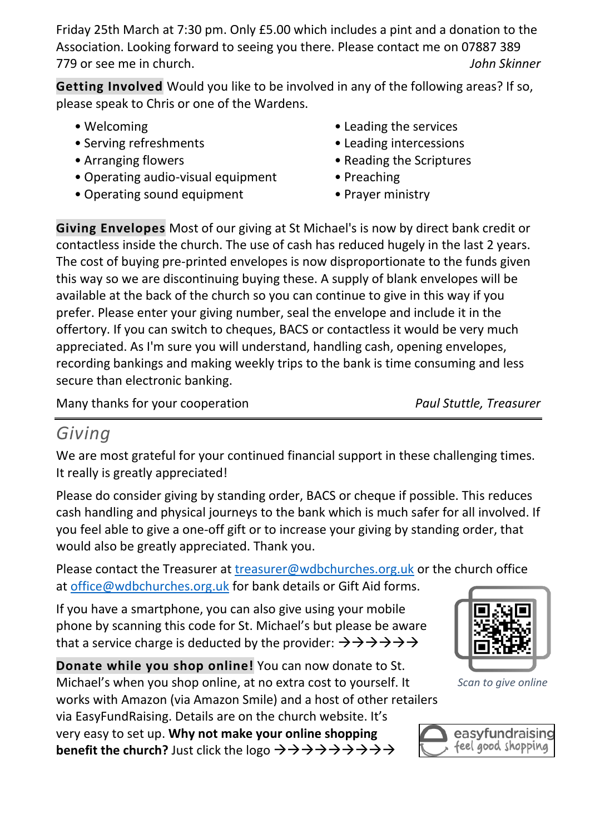Friday 25th March at 7:30 pm. Only £5.00 which includes a pint and a donation to the Association. Looking forward to seeing you there. Please contact me on 07887 389 779 or see me in church. *John Skinner*

**Getting Involved** Would you like to be involved in any of the following areas? If so, please speak to Chris or one of the Wardens.

- Welcoming
- Serving refreshments
- Arranging flowers
- Operating audio-visual equipment
- Operating sound equipment
- Leading the services
- Leading intercessions
- Reading the Scriptures
- Preaching
- Prayer ministry

**Giving Envelopes** Most of our giving at St Michael's is now by direct bank credit or contactless inside the church. The use of cash has reduced hugely in the last 2 years. The cost of buying pre-printed envelopes is now disproportionate to the funds given this way so we are discontinuing buying these. A supply of blank envelopes will be available at the back of the church so you can continue to give in this way if you prefer. Please enter your giving number, seal the envelope and include it in the offertory. If you can switch to cheques, BACS or contactless it would be very much appreciated. As I'm sure you will understand, handling cash, opening envelopes, recording bankings and making weekly trips to the bank is time consuming and less secure than electronic banking.

Many thanks for your cooperation *Paul Stuttle, Treasurer*

## *Giving*

We are most grateful for your continued financial support in these challenging times. It really is greatly appreciated!

Please do consider giving by standing order, BACS or cheque if possible. This reduces cash handling and physical journeys to the bank which is much safer for all involved. If you feel able to give a one-off gift or to increase your giving by standing order, that would also be greatly appreciated. Thank you.

Please contact the Treasurer at [treasurer@wdbchurches.org.uk](mailto:treasurer@wdbchurches.org.uk) or the church office at [office@wdbchurches.org.uk](mailto:office@wdbchurches.org.uk) for bank details or Gift Aid forms.

If you have a smartphone, you can also give using your mobile phone by scanning this code for St. Michael's but please be aware that a service charge is deducted by the provider:  $\rightarrow \rightarrow \rightarrow \rightarrow \rightarrow \rightarrow$ 

**Donate while you shop online!** You can now donate to St. Michael's when you shop online, at no extra cost to yourself. It works with Amazon (via Amazon Smile) and a host of other retailers via EasyFundRaising. Details are on the [church website](http://www.stmichaelsbreaston.org.uk/index.php/113-news/236-giving-online). It's

very easy to set up. **Why not make your online shopping benefit the church?** Just click the logo →→→→→→→→→



*Scan to give online*